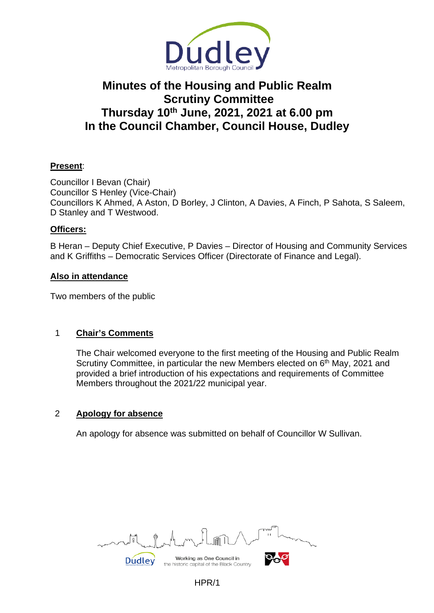

# **Minutes of the Housing and Public Realm Scrutiny Committee Thursday 10th June, 2021, 2021 at 6.00 pm In the Council Chamber, Council House, Dudley**

# **Present**:

Councillor I Bevan (Chair) Councillor S Henley (Vice-Chair) Councillors K Ahmed, A Aston, D Borley, J Clinton, A Davies, A Finch, P Sahota, S Saleem, D Stanley and T Westwood.

## **Officers:**

B Heran – Deputy Chief Executive, P Davies – Director of Housing and Community Services and K Griffiths – Democratic Services Officer (Directorate of Finance and Legal).

#### **Also in attendance**

Two members of the public

## 1 **Chair's Comments**

The Chair welcomed everyone to the first meeting of the Housing and Public Realm Scrutiny Committee, in particular the new Members elected on  $6<sup>th</sup>$  May, 2021 and provided a brief introduction of his expectations and requirements of Committee Members throughout the 2021/22 municipal year.

## 2 **Apology for absence**

An apology for absence was submitted on behalf of Councillor W Sullivan.

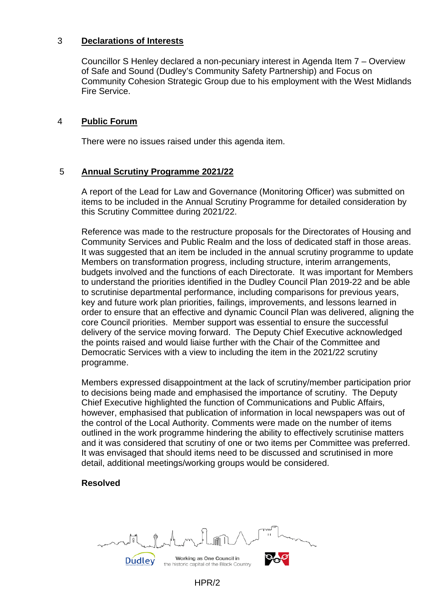## 3 **Declarations of Interests**

Councillor S Henley declared a non-pecuniary interest in Agenda Item 7 – Overview of Safe and Sound (Dudley's Community Safety Partnership) and Focus on Community Cohesion Strategic Group due to his employment with the West Midlands Fire Service.

## 4 **Public Forum**

There were no issues raised under this agenda item.

## 5 **Annual Scrutiny Programme 2021/22**

A report of the Lead for Law and Governance (Monitoring Officer) was submitted on items to be included in the Annual Scrutiny Programme for detailed consideration by this Scrutiny Committee during 2021/22.

Reference was made to the restructure proposals for the Directorates of Housing and Community Services and Public Realm and the loss of dedicated staff in those areas. It was suggested that an item be included in the annual scrutiny programme to update Members on transformation progress, including structure, interim arrangements, budgets involved and the functions of each Directorate. It was important for Members to understand the priorities identified in the Dudley Council Plan 2019-22 and be able to scrutinise departmental performance, including comparisons for previous years, key and future work plan priorities, failings, improvements, and lessons learned in order to ensure that an effective and dynamic Council Plan was delivered, aligning the core Council priorities. Member support was essential to ensure the successful delivery of the service moving forward. The Deputy Chief Executive acknowledged the points raised and would liaise further with the Chair of the Committee and Democratic Services with a view to including the item in the 2021/22 scrutiny programme.

Members expressed disappointment at the lack of scrutiny/member participation prior to decisions being made and emphasised the importance of scrutiny. The Deputy Chief Executive highlighted the function of Communications and Public Affairs, however, emphasised that publication of information in local newspapers was out of the control of the Local Authority. Comments were made on the number of items outlined in the work programme hindering the ability to effectively scrutinise matters and it was considered that scrutiny of one or two items per Committee was preferred. It was envisaged that should items need to be discussed and scrutinised in more detail, additional meetings/working groups would be considered.

## **Resolved**

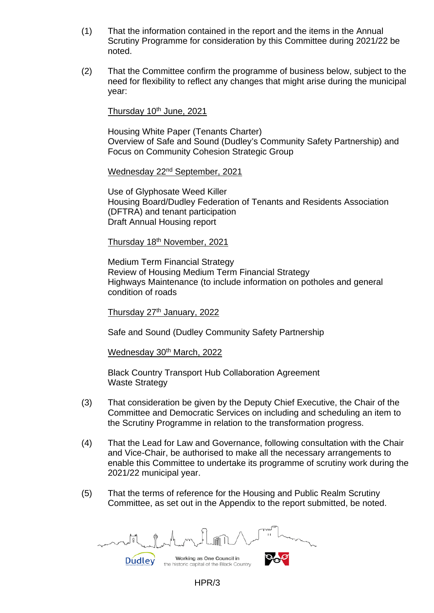- (1) That the information contained in the report and the items in the Annual Scrutiny Programme for consideration by this Committee during 2021/22 be noted.
- (2) That the Committee confirm the programme of business below, subject to the need for flexibility to reflect any changes that might arise during the municipal year:

## Thursday 10<sup>th</sup> June, 2021

Housing White Paper (Tenants Charter) Overview of Safe and Sound (Dudley's Community Safety Partnership) and Focus on Community Cohesion Strategic Group

Wednesday 22<sup>nd</sup> September, 2021

Use of Glyphosate Weed Killer Housing Board/Dudley Federation of Tenants and Residents Association (DFTRA) and tenant participation Draft Annual Housing report

Thursday 18th November, 2021

Medium Term Financial Strategy Review of Housing Medium Term Financial Strategy Highways Maintenance (to include information on potholes and general condition of roads

Thursday 27<sup>th</sup> January, 2022

Safe and Sound (Dudley Community Safety Partnership

Wednesday 30<sup>th</sup> March, 2022

Black Country Transport Hub Collaboration Agreement Waste Strategy

- (3) That consideration be given by the Deputy Chief Executive, the Chair of the Committee and Democratic Services on including and scheduling an item to the Scrutiny Programme in relation to the transformation progress.
- (4) That the Lead for Law and Governance, following consultation with the Chair and Vice-Chair, be authorised to make all the necessary arrangements to enable this Committee to undertake its programme of scrutiny work during the 2021/22 municipal year.
- (5) That the terms of reference for the Housing and Public Realm Scrutiny Committee, as set out in the Appendix to the report submitted, be noted.

Working as One Council in **Dudley** the historic capital of the Black Country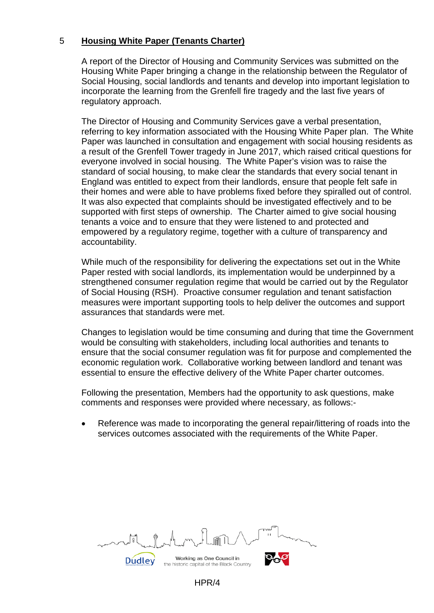## 5 **Housing White Paper (Tenants Charter)**

A report of the Director of Housing and Community Services was submitted on the Housing White Paper bringing a change in the relationship between the Regulator of Social Housing, social landlords and tenants and develop into important legislation to incorporate the learning from the Grenfell fire tragedy and the last five years of regulatory approach.

The Director of Housing and Community Services gave a verbal presentation, referring to key information associated with the Housing White Paper plan. The White Paper was launched in consultation and engagement with social housing residents as a result of the Grenfell Tower tragedy in June 2017, which raised critical questions for everyone involved in social housing. The White Paper's vision was to raise the standard of social housing, to make clear the standards that every social tenant in England was entitled to expect from their landlords, ensure that people felt safe in their homes and were able to have problems fixed before they spiralled out of control. It was also expected that complaints should be investigated effectively and to be supported with first steps of ownership. The Charter aimed to give social housing tenants a voice and to ensure that they were listened to and protected and empowered by a regulatory regime, together with a culture of transparency and accountability.

While much of the responsibility for delivering the expectations set out in the White Paper rested with social landlords, its implementation would be underpinned by a strengthened consumer regulation regime that would be carried out by the Regulator of Social Housing (RSH). Proactive consumer regulation and tenant satisfaction measures were important supporting tools to help deliver the outcomes and support assurances that standards were met.

Changes to legislation would be time consuming and during that time the Government would be consulting with stakeholders, including local authorities and tenants to ensure that the social consumer regulation was fit for purpose and complemented the economic regulation work. Collaborative working between landlord and tenant was essential to ensure the effective delivery of the White Paper charter outcomes.

Following the presentation, Members had the opportunity to ask questions, make comments and responses were provided where necessary, as follows:-

Reference was made to incorporating the general repair/littering of roads into the services outcomes associated with the requirements of the White Paper.

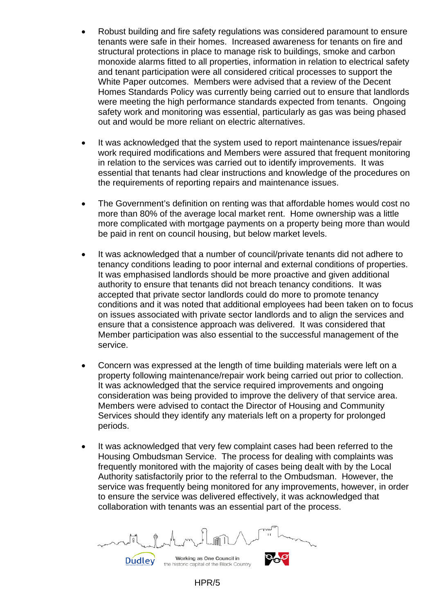- Robust building and fire safety regulations was considered paramount to ensure tenants were safe in their homes. Increased awareness for tenants on fire and structural protections in place to manage risk to buildings, smoke and carbon monoxide alarms fitted to all properties, information in relation to electrical safety and tenant participation were all considered critical processes to support the White Paper outcomes. Members were advised that a review of the Decent Homes Standards Policy was currently being carried out to ensure that landlords were meeting the high performance standards expected from tenants. Ongoing safety work and monitoring was essential, particularly as gas was being phased out and would be more reliant on electric alternatives.
- It was acknowledged that the system used to report maintenance issues/repair work required modifications and Members were assured that frequent monitoring in relation to the services was carried out to identify improvements. It was essential that tenants had clear instructions and knowledge of the procedures on the requirements of reporting repairs and maintenance issues.
- The Government's definition on renting was that affordable homes would cost no more than 80% of the average local market rent. Home ownership was a little more complicated with mortgage payments on a property being more than would be paid in rent on council housing, but below market levels.
- It was acknowledged that a number of council/private tenants did not adhere to tenancy conditions leading to poor internal and external conditions of properties. It was emphasised landlords should be more proactive and given additional authority to ensure that tenants did not breach tenancy conditions. It was accepted that private sector landlords could do more to promote tenancy conditions and it was noted that additional employees had been taken on to focus on issues associated with private sector landlords and to align the services and ensure that a consistence approach was delivered. It was considered that Member participation was also essential to the successful management of the service.
- Concern was expressed at the length of time building materials were left on a property following maintenance/repair work being carried out prior to collection. It was acknowledged that the service required improvements and ongoing consideration was being provided to improve the delivery of that service area. Members were advised to contact the Director of Housing and Community Services should they identify any materials left on a property for prolonged periods.
- It was acknowledged that very few complaint cases had been referred to the Housing Ombudsman Service. The process for dealing with complaints was frequently monitored with the majority of cases being dealt with by the Local Authority satisfactorily prior to the referral to the Ombudsman. However, the service was frequently being monitored for any improvements, however, in order to ensure the service was delivered effectively, it was acknowledged that collaboration with tenants was an essential part of the process.

Working as One Council in **Dudley** the historic capital of the Black Country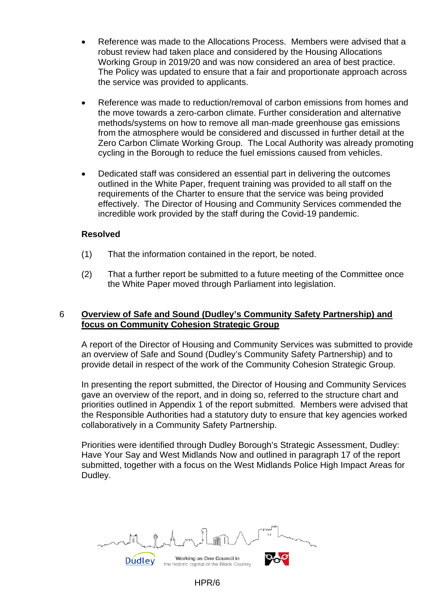- Reference was made to the Allocations Process. Members were advised that a robust review had taken place and considered by the Housing Allocations Working Group in 2019/20 and was now considered an area of best practice. The Policy was updated to ensure that a fair and proportionate approach across the service was provided to applicants.
- Reference was made to reduction/removal of carbon emissions from homes and the move towards a zero-carbon climate. Further consideration and alternative methods/systems on how to remove all man-made greenhouse gas emissions from the atmosphere would be considered and discussed in further detail at the Zero Carbon Climate Working Group. The Local Authority was already promoting cycling in the Borough to reduce the fuel emissions caused from vehicles.
- Dedicated staff was considered an essential part in delivering the outcomes outlined in the White Paper, frequent training was provided to all staff on the requirements of the Charter to ensure that the service was being provided effectively. The Director of Housing and Community Services commended the incredible work provided by the staff during the Covid-19 pandemic.

#### **Resolved**

- (1) That the information contained in the report, be noted.
- (2) That a further report be submitted to a future meeting of the Committee once the White Paper moved through Parliament into legislation.

## 6 **Overview of Safe and Sound (Dudley's Community Safety Partnership) and focus on Community Cohesion Strategic Group**

A report of the Director of Housing and Community Services was submitted to provide an overview of Safe and Sound (Dudley's Community Safety Partnership) and to provide detail in respect of the work of the Community Cohesion Strategic Group.

In presenting the report submitted, the Director of Housing and Community Services gave an overview of the report, and in doing so, referred to the structure chart and priorities outlined in Appendix 1 of the report submitted. Members were advised that the Responsible Authorities had a statutory duty to ensure that key agencies worked collaboratively in a Community Safety Partnership.

Priorities were identified through Dudley Borough's Strategic Assessment, Dudley: Have Your Say and West Midlands Now and outlined in paragraph 17 of the report submitted, together with a focus on the West Midlands Police High Impact Areas for Dudley.

Working as One Council in **Dudley** 

HPR/6

the historic capital of the Black Country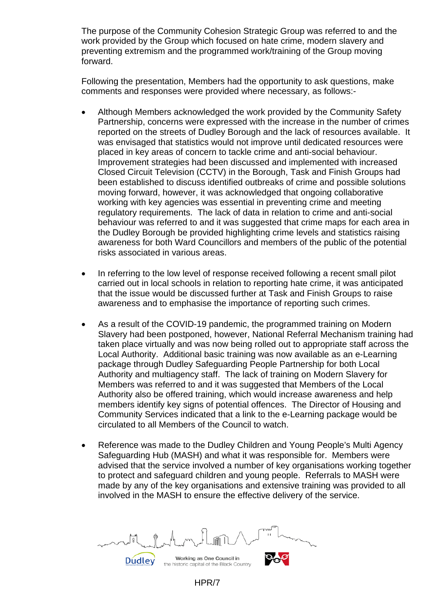The purpose of the Community Cohesion Strategic Group was referred to and the work provided by the Group which focused on hate crime, modern slavery and preventing extremism and the programmed work/training of the Group moving forward.

Following the presentation, Members had the opportunity to ask questions, make comments and responses were provided where necessary, as follows:-

- Although Members acknowledged the work provided by the Community Safety Partnership, concerns were expressed with the increase in the number of crimes reported on the streets of Dudley Borough and the lack of resources available. It was envisaged that statistics would not improve until dedicated resources were placed in key areas of concern to tackle crime and anti-social behaviour. Improvement strategies had been discussed and implemented with increased Closed Circuit Television (CCTV) in the Borough, Task and Finish Groups had been established to discuss identified outbreaks of crime and possible solutions moving forward, however, it was acknowledged that ongoing collaborative working with key agencies was essential in preventing crime and meeting regulatory requirements. The lack of data in relation to crime and anti-social behaviour was referred to and it was suggested that crime maps for each area in the Dudley Borough be provided highlighting crime levels and statistics raising awareness for both Ward Councillors and members of the public of the potential risks associated in various areas.
- In referring to the low level of response received following a recent small pilot carried out in local schools in relation to reporting hate crime, it was anticipated that the issue would be discussed further at Task and Finish Groups to raise awareness and to emphasise the importance of reporting such crimes.
- As a result of the COVID-19 pandemic, the programmed training on Modern Slavery had been postponed, however, National Referral Mechanism training had taken place virtually and was now being rolled out to appropriate staff across the Local Authority. Additional basic training was now available as an e-Learning package through Dudley Safeguarding People Partnership for both Local Authority and multiagency staff. The lack of training on Modern Slavery for Members was referred to and it was suggested that Members of the Local Authority also be offered training, which would increase awareness and help members identify key signs of potential offences. The Director of Housing and Community Services indicated that a link to the e-Learning package would be circulated to all Members of the Council to watch.
- Reference was made to the Dudley Children and Young People's Multi Agency Safeguarding Hub (MASH) and what it was responsible for. Members were advised that the service involved a number of key organisations working together to protect and safeguard children and young people. Referrals to MASH were made by any of the key organisations and extensive training was provided to all involved in the MASH to ensure the effective delivery of the service.

Working as One Council in **Dudley** the historic capital of the Black Country